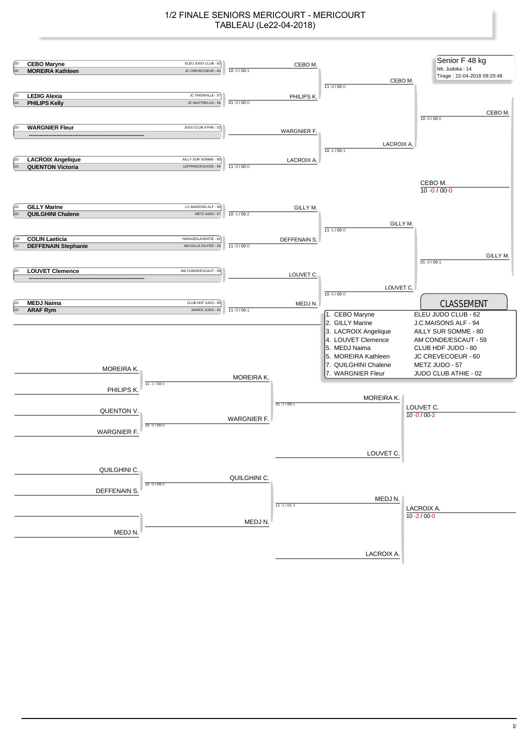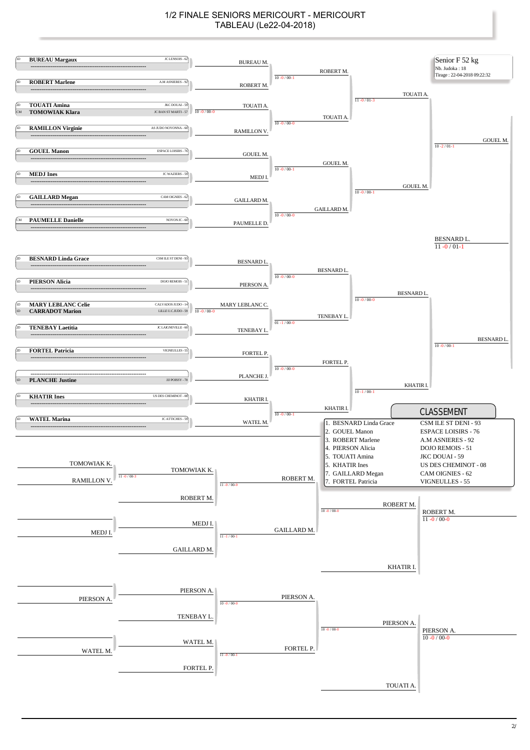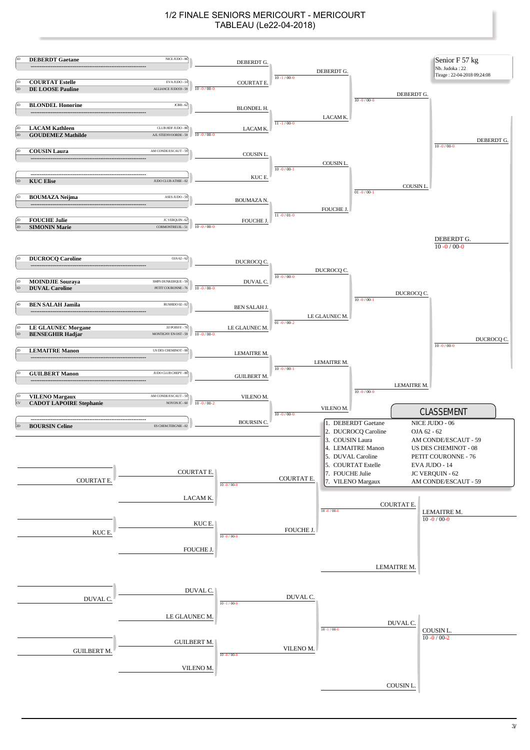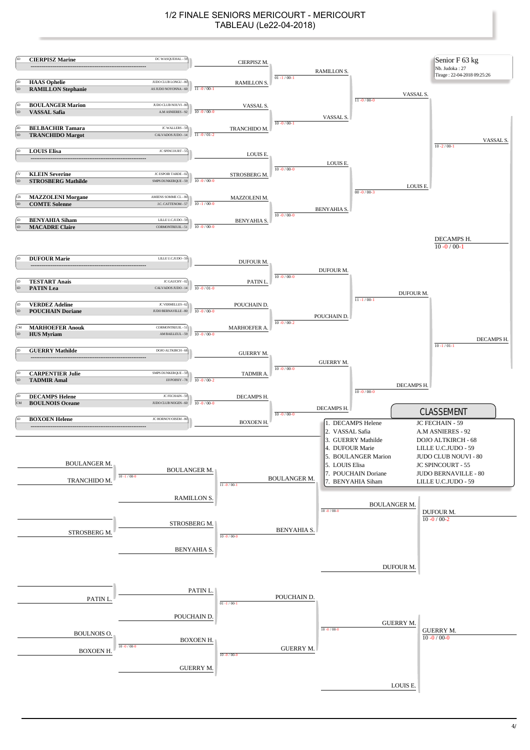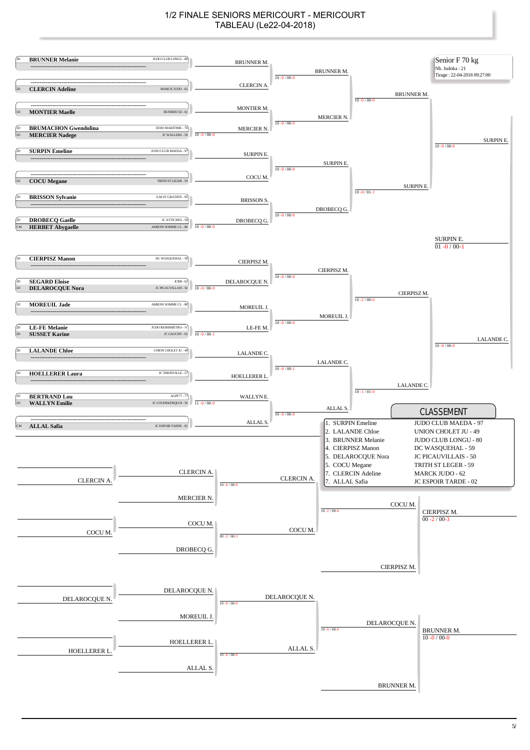![](_page_4_Figure_1.jpeg)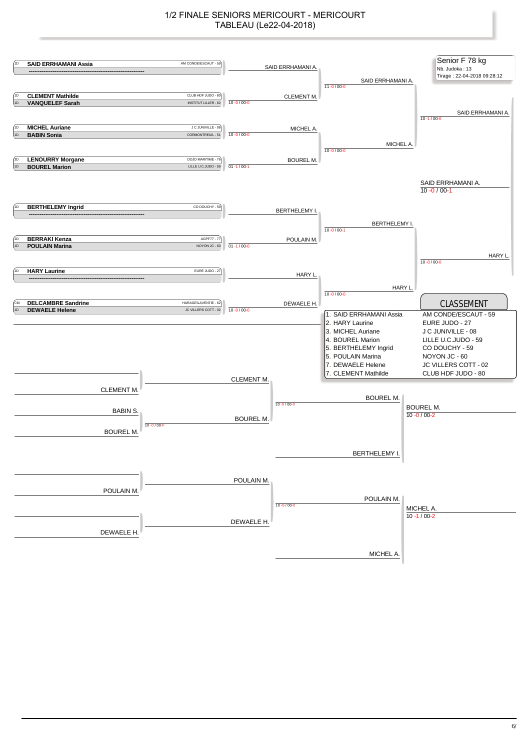![](_page_5_Figure_1.jpeg)